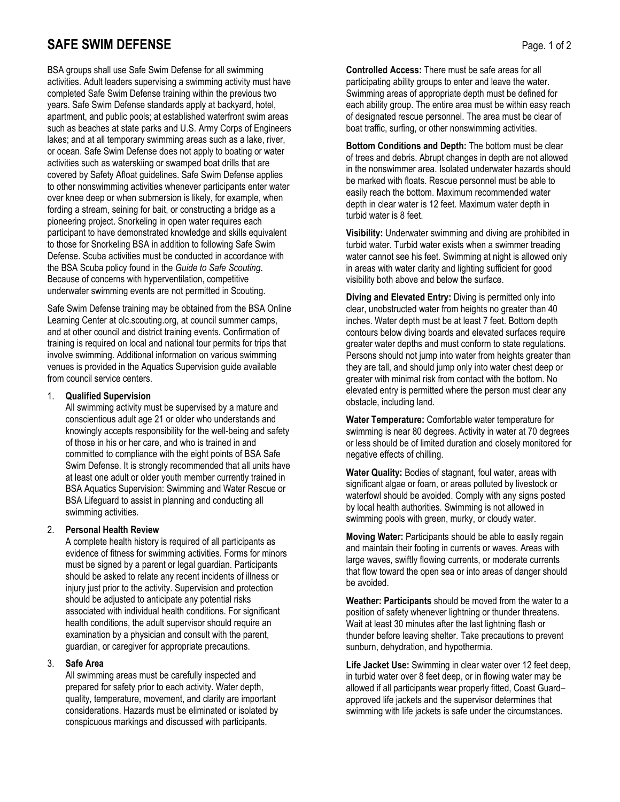# **SAFE SWIM DEFENSE** Page. 1 of 2

BSA groups shall use Safe Swim Defense for all swimming activities. Adult leaders supervising a swimming activity must have completed Safe Swim Defense training within the previous two years. Safe Swim Defense standards apply at backyard, hotel, apartment, and public pools; at established waterfront swim areas such as beaches at state parks and U.S. Army Corps of Engineers lakes; and at all temporary swimming areas such as a lake, river, or ocean. Safe Swim Defense does not apply to boating or water activities such as waterskiing or swamped boat drills that are covered by Safety Afloat guidelines. Safe Swim Defense applies to other nonswimming activities whenever participants enter water over knee deep or when submersion is likely, for example, when fording a stream, seining for bait, or constructing a bridge as a pioneering project. Snorkeling in open water requires each participant to have demonstrated knowledge and skills equivalent to those for Snorkeling BSA in addition to following Safe Swim Defense. Scuba activities must be conducted in accordance with the BSA Scuba policy found in the *Guide to Safe Scouting*. Because of concerns with hyperventilation, competitive underwater swimming events are not permitted in Scouting.

Safe Swim Defense training may be obtained from the BSA Online Learning Center at olc.scouting.org, at council summer camps, and at other council and district training events. Confirmation of training is required on local and national tour permits for trips that involve swimming. Additional information on various swimming venues is provided in the Aquatics Supervision guide available from council service centers.

## 1. **Qualified Supervision**

All swimming activity must be supervised by a mature and conscientious adult age 21 or older who understands and knowingly accepts responsibility for the well-being and safety of those in his or her care, and who is trained in and committed to compliance with the eight points of BSA Safe Swim Defense. It is strongly recommended that all units have at least one adult or older youth member currently trained in BSA Aquatics Supervision: Swimming and Water Rescue or BSA Lifeguard to assist in planning and conducting all swimming activities.

## 2. **Personal Health Review**

A complete health history is required of all participants as evidence of fitness for swimming activities. Forms for minors must be signed by a parent or legal guardian. Participants should be asked to relate any recent incidents of illness or injury just prior to the activity. Supervision and protection should be adjusted to anticipate any potential risks associated with individual health conditions. For significant health conditions, the adult supervisor should require an examination by a physician and consult with the parent, guardian, or caregiver for appropriate precautions.

## 3. **Safe Area**

All swimming areas must be carefully inspected and prepared for safety prior to each activity. Water depth, quality, temperature, movement, and clarity are important considerations. Hazards must be eliminated or isolated by conspicuous markings and discussed with participants.

**Controlled Access:** There must be safe areas for all participating ability groups to enter and leave the water. Swimming areas of appropriate depth must be defined for each ability group. The entire area must be within easy reach of designated rescue personnel. The area must be clear of boat traffic, surfing, or other nonswimming activities.

**Bottom Conditions and Depth:** The bottom must be clear of trees and debris. Abrupt changes in depth are not allowed in the nonswimmer area. Isolated underwater hazards should be marked with floats. Rescue personnel must be able to easily reach the bottom. Maximum recommended water depth in clear water is 12 feet. Maximum water depth in turbid water is 8 feet.

**Visibility:** Underwater swimming and diving are prohibited in turbid water. Turbid water exists when a swimmer treading water cannot see his feet. Swimming at night is allowed only in areas with water clarity and lighting sufficient for good visibility both above and below the surface.

**Diving and Elevated Entry:** Diving is permitted only into clear, unobstructed water from heights no greater than 40 inches. Water depth must be at least 7 feet. Bottom depth contours below diving boards and elevated surfaces require greater water depths and must conform to state regulations. Persons should not jump into water from heights greater than they are tall, and should jump only into water chest deep or greater with minimal risk from contact with the bottom. No elevated entry is permitted where the person must clear any obstacle, including land.

**Water Temperature:** Comfortable water temperature for swimming is near 80 degrees. Activity in water at 70 degrees or less should be of limited duration and closely monitored for negative effects of chilling.

**Water Quality:** Bodies of stagnant, foul water, areas with significant algae or foam, or areas polluted by livestock or waterfowl should be avoided. Comply with any signs posted by local health authorities. Swimming is not allowed in swimming pools with green, murky, or cloudy water.

**Moving Water:** Participants should be able to easily regain and maintain their footing in currents or waves. Areas with large waves, swiftly flowing currents, or moderate currents that flow toward the open sea or into areas of danger should be avoided.

**Weather: Participants** should be moved from the water to a position of safety whenever lightning or thunder threatens. Wait at least 30 minutes after the last lightning flash or thunder before leaving shelter. Take precautions to prevent sunburn, dehydration, and hypothermia.

**Life Jacket Use:** Swimming in clear water over 12 feet deep, in turbid water over 8 feet deep, or in flowing water may be allowed if all participants wear properly fitted, Coast Guard– approved life jackets and the supervisor determines that swimming with life jackets is safe under the circumstances.